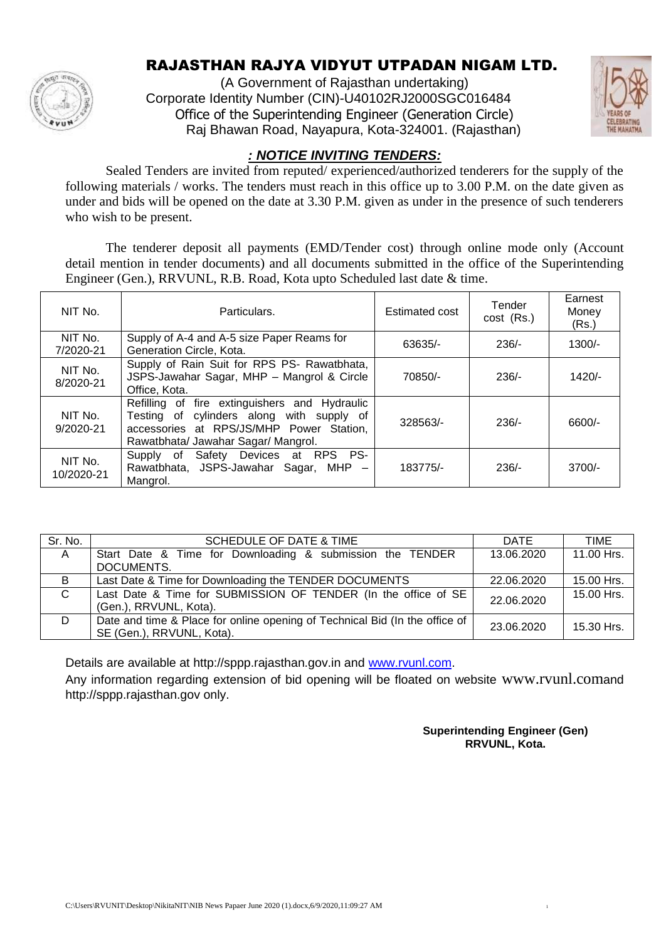

## RAJASTHAN RAJYA VIDYUT UTPADAN NIGAM LTD.

(A Government of Rajasthan undertaking) Corporate Identity Number (CIN)-U40102RJ2000SGC016484 Office of the Superintending Engineer (Generation Circle) Raj Bhawan Road, Nayapura, Kota-324001. (Rajasthan)



### *: NOTICE INVITING TENDERS:*

Sealed Tenders are invited from reputed/ experienced/authorized tenderers for the supply of the following materials / works. The tenders must reach in this office up to 3.00 P.M. on the date given as under and bids will be opened on the date at 3.30 P.M. given as under in the presence of such tenderers who wish to be present.

The tenderer deposit all payments (EMD/Tender cost) through online mode only (Account detail mention in tender documents) and all documents submitted in the office of the Superintending Engineer (Gen.), RRVUNL, R.B. Road, Kota upto Scheduled last date & time.

| NIT No.               | Particulars.                                                                                                                                                                  | Estimated cost | Tender<br>$cost$ (Rs.) | Earnest<br>Money<br>(Rs.) |
|-----------------------|-------------------------------------------------------------------------------------------------------------------------------------------------------------------------------|----------------|------------------------|---------------------------|
| NIT No.<br>7/2020-21  | Supply of A-4 and A-5 size Paper Reams for<br>Generation Circle, Kota.                                                                                                        | 63635/-        | $236/-$                | $1300/-$                  |
| NIT No.<br>8/2020-21  | Supply of Rain Suit for RPS PS- Rawatbhata,<br>JSPS-Jawahar Sagar, MHP - Mangrol & Circle<br>Office, Kota.                                                                    | 70850/-        | $236/-$                | $1420/-$                  |
| NIT No.<br>9/2020-21  | Refilling of fire extinguishers and Hydraulic<br>Testing of cylinders along with supply of<br>accessories at RPS/JS/MHP Power Station,<br>Rawatbhata/ Jawahar Sagar/ Mangrol. | 328563/-       | $236/-$                | 6600/-                    |
| NIT No.<br>10/2020-21 | Safety Devices at RPS PS-<br>Supply of<br>Rawatbhata, JSPS-Jawahar Sagar,<br>$MHP -$<br>Mangrol.                                                                              | 183775/-       | $236/-$                | $3700/-$                  |

| Sr. No.      | SCHEDULE OF DATE & TIME                                                                                  | DATE       | TIME       |
|--------------|----------------------------------------------------------------------------------------------------------|------------|------------|
| $\mathsf{A}$ | Start Date & Time for Downloading & submission the TENDER                                                | 13.06.2020 | 11.00 Hrs. |
|              | DOCUMENTS.                                                                                               |            |            |
| B            | Last Date & Time for Downloading the TENDER DOCUMENTS                                                    | 22.06.2020 | 15.00 Hrs. |
| C            | Last Date & Time for SUBMISSION OF TENDER (In the office of SE                                           | 22.06.2020 | 15.00 Hrs. |
|              | (Gen.), RRVUNL, Kota).                                                                                   |            |            |
| D            | Date and time & Place for online opening of Technical Bid (In the office of<br>SE (Gen.), RRVUNL, Kota). | 23.06.2020 | 15.30 Hrs. |

Details are available at http://sppp.rajasthan.gov.in and [www.rvunl.com.](http://www.rvunl.com/)

Any information regarding extension of bid opening will be floated on website www.rvunl.comand http://sppp.rajasthan.gov only.

> **Superintending Engineer (Gen) RRVUNL, Kota.**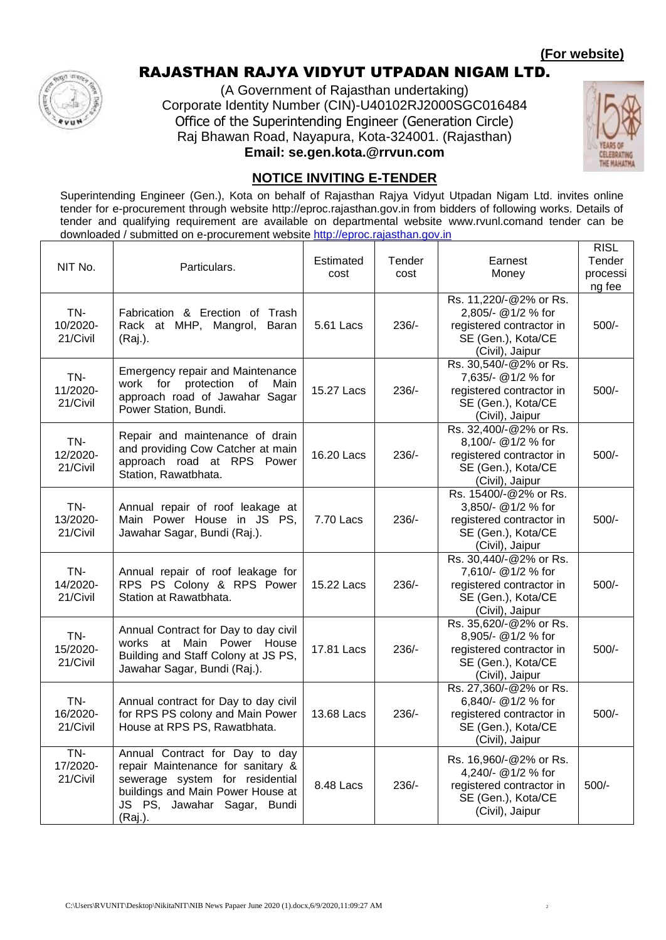

### RAJASTHAN RAJYA VIDYUT UTPADAN NIGAM LTD.

(A Government of Rajasthan undertaking) Corporate Identity Number (CIN)-U40102RJ2000SGC016484 Office of the Superintending Engineer (Generation Circle) Raj Bhawan Road, Nayapura, Kota-324001. (Rajasthan)



**Email: se.gen.kota.@rrvun.com**

### **NOTICE INVITING E-TENDER**

Superintending Engineer (Gen.), Kota on behalf of Rajasthan Rajya Vidyut Utpadan Nigam Ltd. invites online tender for e-procurement through website http://eproc.rajasthan.gov.in from bidders of following works. Details of tender and qualifying requirement are available on departmental website www.rvunl.comand tender can be downloaded / submitted on e-procurement website [http://eproc.rajasthan.gov.in](http://eproc.rajasthan.gov.in/)  $PIRI$ 

| NIT No.                       | Particulars.                                                                                                                                                                             | Estimated<br>cost | Tender<br>cost | Earnest<br>Money                                                                                                  | <b>KIOL</b><br>Tender<br>processi<br>ng fee |
|-------------------------------|------------------------------------------------------------------------------------------------------------------------------------------------------------------------------------------|-------------------|----------------|-------------------------------------------------------------------------------------------------------------------|---------------------------------------------|
| TN-<br>10/2020-<br>21/Civil   | Fabrication & Erection of Trash<br>Rack at MHP, Mangrol,<br>Baran<br>(Raj.).                                                                                                             | 5.61 Lacs         | $236/-$        | Rs. 11,220/-@2% or Rs.<br>2,805/- @1/2 % for<br>registered contractor in<br>SE (Gen.), Kota/CE<br>(Civil), Jaipur | 500/-                                       |
| TN-<br>11/2020-<br>21/Civil   | <b>Emergency repair and Maintenance</b><br>work for<br>protection<br>of<br>Main<br>approach road of Jawahar Sagar<br>Power Station, Bundi.                                               | 15.27 Lacs        | $236/-$        | Rs. 30,540/-@2% or Rs.<br>7,635/- @1/2 % for<br>registered contractor in<br>SE (Gen.), Kota/CE<br>(Civil), Jaipur | 500/-                                       |
| TN-<br>12/2020-<br>21/Civil   | Repair and maintenance of drain<br>and providing Cow Catcher at main<br>approach road at RPS Power<br>Station, Rawatbhata.                                                               | 16.20 Lacs        | $236/-$        | Rs. 32,400/-@2% or Rs.<br>8,100/- @1/2 % for<br>registered contractor in<br>SE (Gen.), Kota/CE<br>(Civil), Jaipur | $500/-$                                     |
| TN-<br>13/2020-<br>21/Civil   | Annual repair of roof leakage at<br>Main Power House in JS PS,<br>Jawahar Sagar, Bundi (Raj.).                                                                                           | 7.70 Lacs         | $236/-$        | Rs. 15400/-@2% or Rs.<br>3,850/- @1/2 % for<br>registered contractor in<br>SE (Gen.), Kota/CE<br>(Civil), Jaipur  | 500/-                                       |
| TN-<br>14/2020-<br>21/Civil   | Annual repair of roof leakage for<br>RPS PS Colony & RPS Power<br>Station at Rawatbhata.                                                                                                 | 15.22 Lacs        | $236/-$        | Rs. 30,440/-@2% or Rs.<br>7,610/- @1/2 % for<br>registered contractor in<br>SE (Gen.), Kota/CE<br>(Civil), Jaipur | $500/-$                                     |
| TN-<br>15/2020-<br>21/Civil   | Annual Contract for Day to day civil<br>works at Main Power House<br>Building and Staff Colony at JS PS,<br>Jawahar Sagar, Bundi (Raj.).                                                 | 17.81 Lacs        | $236/-$        | Rs. 35,620/-@2% or Rs.<br>8,905/- @1/2 % for<br>registered contractor in<br>SE (Gen.), Kota/CE<br>(Civil), Jaipur | $500/-$                                     |
| TN-<br>16/2020-<br>21/Civil   | Annual contract for Day to day civil<br>for RPS PS colony and Main Power<br>House at RPS PS, Rawatbhata.                                                                                 | 13.68 Lacs        | $236/-$        | Rs. 27,360/-@2% or Rs.<br>6,840/- @1/2 % for<br>registered contractor in<br>SE (Gen.), Kota/CE<br>(Civil), Jaipur | 500/-                                       |
| $TN-$<br>17/2020-<br>21/Civil | Annual Contract for Day to day<br>repair Maintenance for sanitary &<br>sewerage system for residential<br>buildings and Main Power House at<br>JS PS, Jawahar Sagar,<br>Bundi<br>(Raj.). | 8.48 Lacs         | $236/-$        | Rs. 16,960/-@2% or Rs.<br>4,240/- @1/2 % for<br>registered contractor in<br>SE (Gen.), Kota/CE<br>(Civil), Jaipur | $500/-$                                     |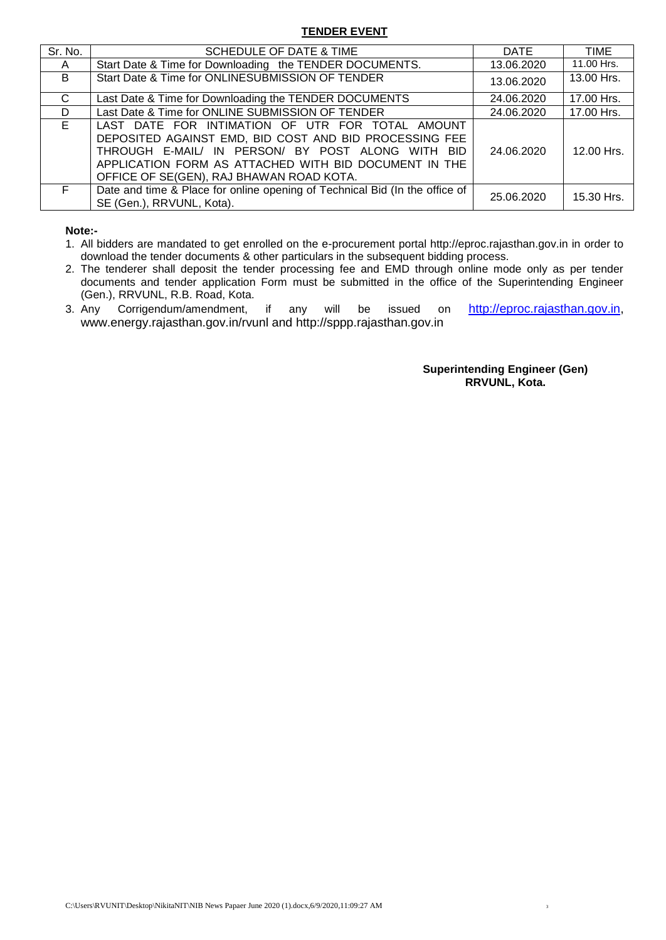#### **TENDER EVENT**

| Sr. No. | SCHEDULE OF DATE & TIME                                                                                                                                                                                                                                              | <b>DATE</b> | <b>TIME</b> |
|---------|----------------------------------------------------------------------------------------------------------------------------------------------------------------------------------------------------------------------------------------------------------------------|-------------|-------------|
| A       | Start Date & Time for Downloading the TENDER DOCUMENTS.                                                                                                                                                                                                              | 13.06.2020  | 11.00 Hrs.  |
| B       | Start Date & Time for ONLINESUBMISSION OF TENDER                                                                                                                                                                                                                     | 13.06.2020  | 13.00 Hrs.  |
| C       | Last Date & Time for Downloading the TENDER DOCUMENTS                                                                                                                                                                                                                | 24.06.2020  | 17.00 Hrs.  |
| D       | Last Date & Time for ONLINE SUBMISSION OF TENDER                                                                                                                                                                                                                     | 24.06.2020  | 17.00 Hrs.  |
| E       | LAST DATE FOR INTIMATION OF UTR FOR TOTAL AMOUNT<br>DEPOSITED AGAINST EMD, BID COST AND BID PROCESSING FEE<br>THROUGH E-MAIL/ IN PERSON/ BY POST ALONG WITH BID<br>APPLICATION FORM AS ATTACHED WITH BID DOCUMENT IN THE<br>OFFICE OF SE(GEN), RAJ BHAWAN ROAD KOTA. | 24.06.2020  | 12.00 Hrs.  |
| F.      | Date and time & Place for online opening of Technical Bid (In the office of<br>SE (Gen.), RRVUNL, Kota).                                                                                                                                                             | 25.06.2020  | 15.30 Hrs.  |

**Note:-**

1. All bidders are mandated to get enrolled on the e-procurement portal http://eproc.rajasthan.gov.in in order to download the tender documents & other particulars in the subsequent bidding process.

- 2. The tenderer shall deposit the tender processing fee and EMD through online mode only as per tender documents and tender application Form must be submitted in the office of the Superintending Engineer (Gen.), RRVUNL, R.B. Road, Kota.
- 3. Any Corrigendum/amendment, if any will be issued on [http://eproc.rajasthan.gov.in,](http://eproc.rajasthan.gov.in/) www.energy.rajasthan.gov.in/rvunl and http://sppp.rajasthan.gov.in

**Superintending Engineer (Gen) RRVUNL, Kota.**